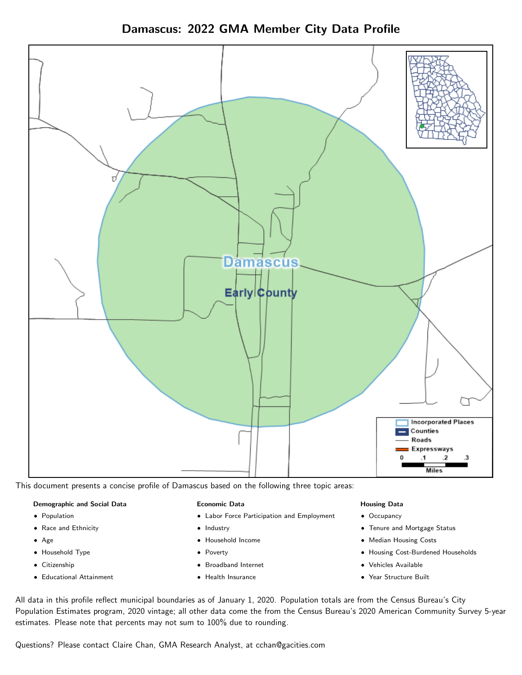Damascus: 2022 GMA Member City Data Profile



This document presents a concise profile of Damascus based on the following three topic areas:

#### Demographic and Social Data

- **•** Population
- Race and Ethnicity
- Age
- Household Type
- **Citizenship**
- Educational Attainment

#### Economic Data

- Labor Force Participation and Employment
- Industry
- Household Income
- Poverty
- Broadband Internet
- Health Insurance

#### Housing Data

- Occupancy
- Tenure and Mortgage Status
- Median Housing Costs
- Housing Cost-Burdened Households
- Vehicles Available
- Year Structure Built

All data in this profile reflect municipal boundaries as of January 1, 2020. Population totals are from the Census Bureau's City Population Estimates program, 2020 vintage; all other data come the from the Census Bureau's 2020 American Community Survey 5-year estimates. Please note that percents may not sum to 100% due to rounding.

Questions? Please contact Claire Chan, GMA Research Analyst, at [cchan@gacities.com.](mailto:cchan@gacities.com)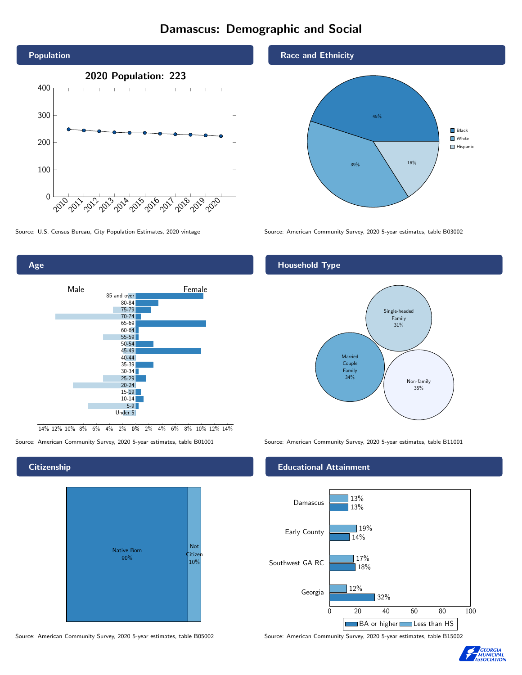# Damascus: Demographic and Social





0% 2% 4% 6% 8% 10% 12% 14% 14% 12% 10% 8% 6% 4% 2%

### **Citizenship**

Age

| <b>Native Born</b><br>90% | <b>Not</b><br>Citizen<br>10% |
|---------------------------|------------------------------|
|---------------------------|------------------------------|

Source: American Community Survey, 2020 5-year estimates, table B05002 Source: American Community Survey, 2020 5-year estimates, table B15002

Race and Ethnicity



Source: U.S. Census Bureau, City Population Estimates, 2020 vintage Source: American Community Survey, 2020 5-year estimates, table B03002

## Household Type



Source: American Community Survey, 2020 5-year estimates, table B01001 Source: American Community Survey, 2020 5-year estimates, table B11001

### Educational Attainment



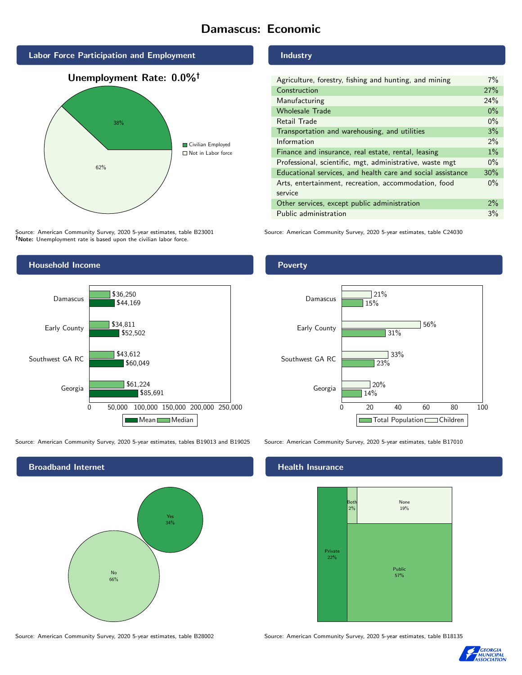# Damascus: Economic



Source: American Community Survey, 2020 5-year estimates, table B23001 Note: Unemployment rate is based upon the civilian labor force.

## Industry

| Agriculture, forestry, fishing and hunting, and mining      | $7\%$ |
|-------------------------------------------------------------|-------|
| Construction                                                | 27%   |
| Manufacturing                                               | 24%   |
| <b>Wholesale Trade</b>                                      | $0\%$ |
| Retail Trade                                                | $0\%$ |
| Transportation and warehousing, and utilities               | 3%    |
| Information                                                 | $2\%$ |
| Finance and insurance, real estate, rental, leasing         | $1\%$ |
| Professional, scientific, mgt, administrative, waste mgt    |       |
| Educational services, and health care and social assistance | 30%   |
| Arts, entertainment, recreation, accommodation, food        | $0\%$ |
| service                                                     |       |
| Other services, except public administration                | $2\%$ |
| Public administration                                       | 3%    |

Source: American Community Survey, 2020 5-year estimates, table C24030



Source: American Community Survey, 2020 5-year estimates, tables B19013 and B19025 Source: American Community Survey, 2020 5-year estimates, table B17010



Poverty



## **Health Insurance**



Source: American Community Survey, 2020 5-year estimates, table B28002 Source: American Community Survey, 2020 5-year estimates, table B18135